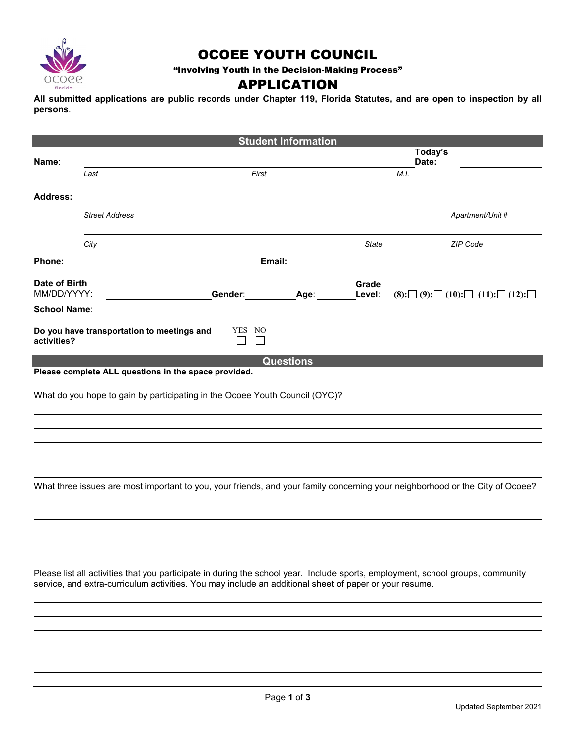

### OCOEE YOUTH COUNCIL

"Involving Youth in the Decision-Making Process"

### APPLICATION

**All submitted applications are public records under Chapter 119, Florida Statutes, and are open to inspection by all persons**.

|                                                                                                                                                                                                                                           |                                                                             |                                                      | <b>Student Information</b> |              |                                                                  |  |  |
|-------------------------------------------------------------------------------------------------------------------------------------------------------------------------------------------------------------------------------------------|-----------------------------------------------------------------------------|------------------------------------------------------|----------------------------|--------------|------------------------------------------------------------------|--|--|
|                                                                                                                                                                                                                                           |                                                                             |                                                      |                            |              | Today's                                                          |  |  |
| Name:                                                                                                                                                                                                                                     | Last                                                                        | First                                                |                            |              | Date:<br>M.I.                                                    |  |  |
|                                                                                                                                                                                                                                           |                                                                             |                                                      |                            |              |                                                                  |  |  |
| <b>Address:</b>                                                                                                                                                                                                                           |                                                                             |                                                      |                            |              |                                                                  |  |  |
|                                                                                                                                                                                                                                           | <b>Street Address</b>                                                       |                                                      |                            |              | Apartment/Unit #                                                 |  |  |
|                                                                                                                                                                                                                                           |                                                                             |                                                      |                            |              |                                                                  |  |  |
|                                                                                                                                                                                                                                           | City                                                                        |                                                      |                            | <b>State</b> | ZIP Code                                                         |  |  |
|                                                                                                                                                                                                                                           |                                                                             |                                                      |                            |              |                                                                  |  |  |
| Phone:                                                                                                                                                                                                                                    |                                                                             | Email:                                               |                            |              |                                                                  |  |  |
| Date of Birth                                                                                                                                                                                                                             |                                                                             |                                                      |                            | Grade        |                                                                  |  |  |
| MM/DD/YYYY:                                                                                                                                                                                                                               |                                                                             | Gender: Age:                                         |                            | Level:       | $(8):$ $\Box$ (9): $\Box$ (10): $\Box$ (11): $\Box$ (12): $\Box$ |  |  |
| <b>School Name:</b>                                                                                                                                                                                                                       |                                                                             | <u> 1989 - Johann Stein, Amerikaansk politiker (</u> |                            |              |                                                                  |  |  |
|                                                                                                                                                                                                                                           |                                                                             |                                                      |                            |              |                                                                  |  |  |
| activities?                                                                                                                                                                                                                               | Do you have transportation to meetings and                                  | YES NO                                               |                            |              |                                                                  |  |  |
|                                                                                                                                                                                                                                           |                                                                             |                                                      |                            |              |                                                                  |  |  |
|                                                                                                                                                                                                                                           |                                                                             |                                                      | <b>Questions</b>           |              |                                                                  |  |  |
|                                                                                                                                                                                                                                           | Please complete ALL questions in the space provided.                        |                                                      |                            |              |                                                                  |  |  |
|                                                                                                                                                                                                                                           | What do you hope to gain by participating in the Ocoee Youth Council (OYC)? |                                                      |                            |              |                                                                  |  |  |
|                                                                                                                                                                                                                                           |                                                                             |                                                      |                            |              |                                                                  |  |  |
|                                                                                                                                                                                                                                           |                                                                             |                                                      |                            |              |                                                                  |  |  |
|                                                                                                                                                                                                                                           |                                                                             |                                                      |                            |              |                                                                  |  |  |
|                                                                                                                                                                                                                                           |                                                                             |                                                      |                            |              |                                                                  |  |  |
|                                                                                                                                                                                                                                           |                                                                             |                                                      |                            |              |                                                                  |  |  |
|                                                                                                                                                                                                                                           |                                                                             |                                                      |                            |              |                                                                  |  |  |
| What three issues are most important to you, your friends, and your family concerning your neighborhood or the City of Ocoee?                                                                                                             |                                                                             |                                                      |                            |              |                                                                  |  |  |
|                                                                                                                                                                                                                                           |                                                                             |                                                      |                            |              |                                                                  |  |  |
|                                                                                                                                                                                                                                           |                                                                             |                                                      |                            |              |                                                                  |  |  |
|                                                                                                                                                                                                                                           |                                                                             |                                                      |                            |              |                                                                  |  |  |
|                                                                                                                                                                                                                                           |                                                                             |                                                      |                            |              |                                                                  |  |  |
|                                                                                                                                                                                                                                           |                                                                             |                                                      |                            |              |                                                                  |  |  |
|                                                                                                                                                                                                                                           |                                                                             |                                                      |                            |              |                                                                  |  |  |
| Please list all activities that you participate in during the school year. Include sports, employment, school groups, community<br>service, and extra-curriculum activities. You may include an additional sheet of paper or your resume. |                                                                             |                                                      |                            |              |                                                                  |  |  |
|                                                                                                                                                                                                                                           |                                                                             |                                                      |                            |              |                                                                  |  |  |
|                                                                                                                                                                                                                                           |                                                                             |                                                      |                            |              |                                                                  |  |  |
|                                                                                                                                                                                                                                           |                                                                             |                                                      |                            |              |                                                                  |  |  |
|                                                                                                                                                                                                                                           |                                                                             |                                                      |                            |              |                                                                  |  |  |
|                                                                                                                                                                                                                                           |                                                                             |                                                      |                            |              |                                                                  |  |  |
|                                                                                                                                                                                                                                           |                                                                             |                                                      |                            |              |                                                                  |  |  |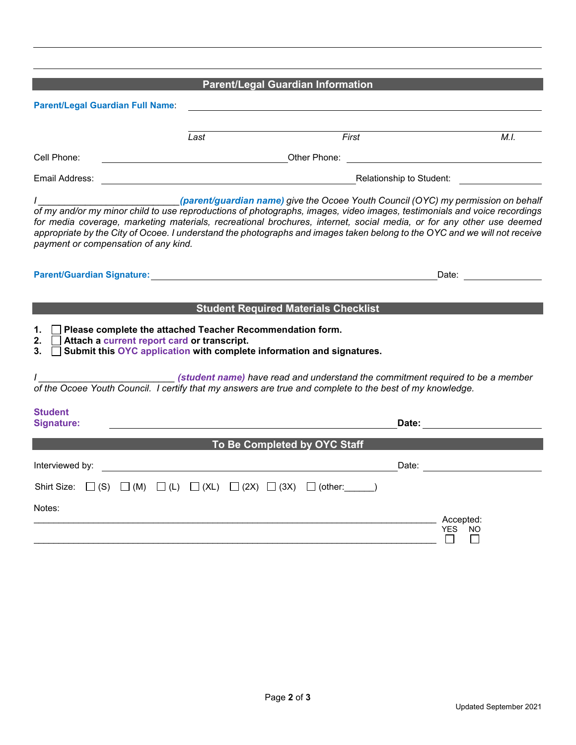**Parent/Legal Guardian Information** 

| Parent/Legal Guardian Full Name:                                                                                                                                                                                               |                          |                                                                                                                                                                                                                                                                                                                                                                                                                                                                    |                                                                                                                |  |  |
|--------------------------------------------------------------------------------------------------------------------------------------------------------------------------------------------------------------------------------|--------------------------|--------------------------------------------------------------------------------------------------------------------------------------------------------------------------------------------------------------------------------------------------------------------------------------------------------------------------------------------------------------------------------------------------------------------------------------------------------------------|----------------------------------------------------------------------------------------------------------------|--|--|
|                                                                                                                                                                                                                                | Last                     | First                                                                                                                                                                                                                                                                                                                                                                                                                                                              | $\overline{M.I.}$                                                                                              |  |  |
| Cell Phone:                                                                                                                                                                                                                    |                          | <b>Example 2018 Control Control Control Control Control Control Control Control Control Control Control Control Control Control Control Control Control Control Control Control Control Control Control Control Control Control </b>                                                                                                                                                                                                                               |                                                                                                                |  |  |
| Email Address:                                                                                                                                                                                                                 | Relationship to Student: |                                                                                                                                                                                                                                                                                                                                                                                                                                                                    |                                                                                                                |  |  |
| payment or compensation of any kind.                                                                                                                                                                                           |                          | (parent/guardian name) give the Ocoee Youth Council (OYC) my permission on behalf<br>of my and/or my minor child to use reproductions of photographs, images, video images, testimonials and voice recordings<br>for media coverage, marketing materials, recreational brochures, internet, social media, or for any other use deemed<br>appropriate by the City of Ocoee. I understand the photographs and images taken belong to the OYC and we will not receive |                                                                                                                |  |  |
| Parent/Guardian Signature: with a state of the control of the control of the control of the control of the control of the control of the control of the control of the control of the control of the control of the control of |                          |                                                                                                                                                                                                                                                                                                                                                                                                                                                                    | Date:                                                                                                          |  |  |
| Please complete the attached Teacher Recommendation form.<br>1.<br>Attach a current report card or transcript.<br>2.<br>3.                                                                                                     |                          | <b>Student Required Materials Checklist</b><br>Submit this OYC application with complete information and signatures.                                                                                                                                                                                                                                                                                                                                               |                                                                                                                |  |  |
|                                                                                                                                                                                                                                |                          | (student name) have read and understand the commitment required to be a member<br>of the Ocoee Youth Council. I certify that my answers are true and complete to the best of my knowledge.                                                                                                                                                                                                                                                                         |                                                                                                                |  |  |
| <b>Student</b><br>Signature:                                                                                                                                                                                                   |                          |                                                                                                                                                                                                                                                                                                                                                                                                                                                                    | Date: and the state of the state of the state of the state of the state of the state of the state of the state |  |  |
|                                                                                                                                                                                                                                |                          | To Be Completed by OYC Staff                                                                                                                                                                                                                                                                                                                                                                                                                                       |                                                                                                                |  |  |
| Interviewed by:                                                                                                                                                                                                                |                          |                                                                                                                                                                                                                                                                                                                                                                                                                                                                    | Date: <u>______________</u>                                                                                    |  |  |
| Shirt Size:                                                                                                                                                                                                                    |                          | $\Box$ (S) $\Box$ (M) $\Box$ (L) $\Box$ (XL) $\Box$ (2X) $\Box$ (3X) $\Box$ (other: ______)                                                                                                                                                                                                                                                                                                                                                                        |                                                                                                                |  |  |
| Notes:                                                                                                                                                                                                                         |                          |                                                                                                                                                                                                                                                                                                                                                                                                                                                                    | Accepted:<br><b>YES</b><br>NO.                                                                                 |  |  |